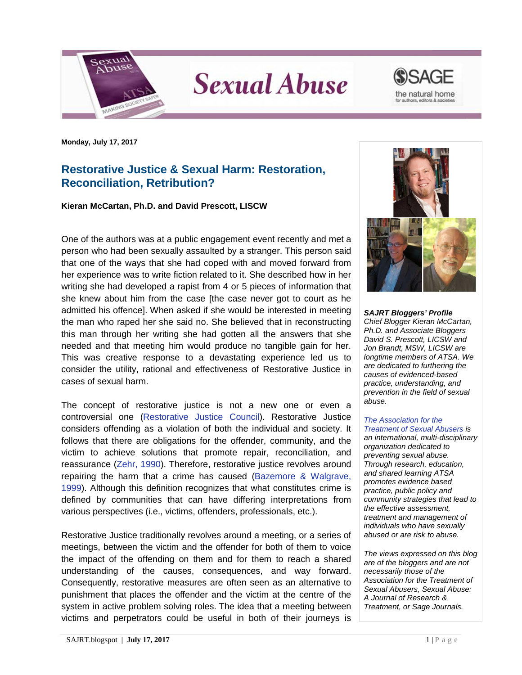

**Sexual Abuse** 



**Monday, July 17, 2017**

## **Restorative Justice & Sexual Harm: Restoration, Reconciliation, Retribution?**

**Kieran McCartan, Ph.D. and David Prescott, LISCW**

One of the authors was at a public engagement event recently and met a person who had been sexually assaulted by a stranger. This person said that one of the ways that she had coped with and moved forward from her experience was to write fiction related to it. She described how in her writing she had developed a rapist from 4 or 5 pieces of information that she knew about him from the case [the case never got to court as he admitted his offence]. When asked if she would be interested in meeting the man who raped her she said no. She believed that in reconstructing this man through her writing she had gotten all the answers that she needed and that meeting him would produce no tangible gain for her. This was creative response to a devastating experience led us to consider the utility, rational and effectiveness of Restorative Justice in cases of sexual harm.

The concept of restorative justice is not a new one or even a controversial one [\(Restorative Justice Council\)](https://www.restorativejustice.org.uk/what-restorative-justice). Restorative Justice considers offending as a violation of both the individual and society. It follows that there are obligations for the offender, community, and the victim to achieve solutions that promote repair, reconciliation, and reassurance [\(Zehr, 1990\)](https://books.google.co.uk/books/about/Changing_Lenses.html?id=dKQnRAAACAAJ). Therefore, restorative justice revolves around repairing the harm that a crime has caused (Bazemore & Walgrave, 1999). Although this definition recognizes that what constitutes crime is defined by communities that can have differing interpretations from various perspectives (i.e., victims, offenders, professionals, etc.).

Restorative Justice traditionally revolves around a meeting, or a series of meetings, between the victim and the offender for both of them to voice the impact of the offending on them and for them to reach a shared understanding of the causes, consequences, and way forward. Consequently, restorative measures are often seen as an alternative to punishment that places the offender and the victim at the centre of the system in active problem solving roles. The idea that a meeting between victims and perpetrators could be useful in both of their journeys is



*SAJRT Bloggers' Profile Chief Blogger Kieran McCartan, Ph.D. and Associate Bloggers David S. Prescott, LICSW and Jon Brandt, MSW, LICSW are longtime members of ATSA. We are dedicated to furthering the causes of evidenced-based practice, understanding, and prevention in the field of sexual abuse.*

## *[The Association for the](http://atsa.com/)*

*[Treatment of Sexual Abusers](http://atsa.com/) is an international, multi-disciplinary organization dedicated to preventing sexual abuse. Through research, education, and shared learning ATSA promotes evidence based practice, public policy and community strategies that lead to the effective assessment, treatment and management of individuals who have sexually abused or are risk to abuse.* 

*The views expressed on this blog are of the bloggers and are not necessarily those of the Association for the Treatment of Sexual Abusers, Sexual Abuse: A Journal of Research & Treatment, or Sage Journals.*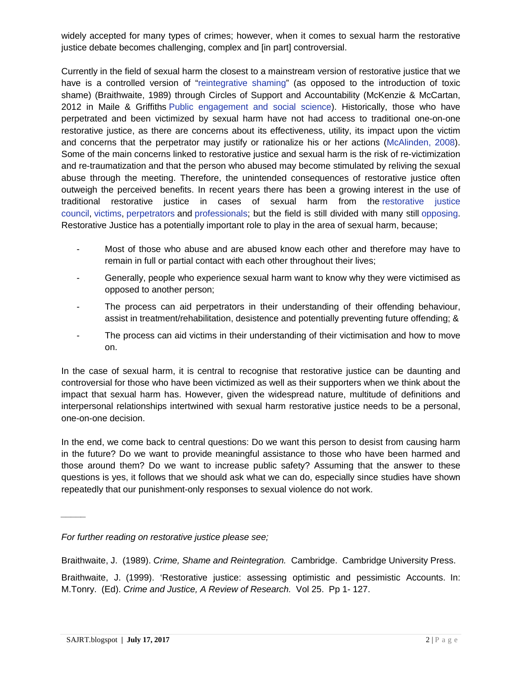widely accepted for many types of crimes; however, when it comes to sexual harm the restorative justice debate becomes challenging, complex and [in part] controversial.

Currently in the field of sexual harm the closest to a mainstream version of restorative justice that we have is a controlled version of ["reintegrative shaming"](https://en.wikipedia.org/wiki/Reintegrative_shaming) (as opposed to the introduction of toxic shame) (Braithwaite, 1989) through Circles of Support and Accountability (McKenzie & McCartan, 2012 in Maile & Griffiths [Public engagement and social science\)](http://policypress.co.uk/public-engagement-and-social-science). Historically, those who have perpetrated and been victimized by sexual harm have not had access to traditional one-on-one restorative justice, as there are concerns about its effectiveness, utility, its impact upon the victim and concerns that the perpetrator may justify or rationalize his or her actions [\(McAlinden, 2008\)](http://www.sexual-offender-treatment.org/1-2008_03.html). Some of the main concerns linked to restorative justice and sexual harm is the risk of re-victimization and re-traumatization and that the person who abused may become stimulated by reliving the sexual abuse through the meeting. Therefore, the unintended consequences of restorative justice often outweigh the perceived benefits. In recent years there has been a growing interest in the use of traditional restorative justice in cases of sexual harm from the [restorative justice](https://www.restorativejustice.org.uk/blog/restorative-justice-and-sexual-violence)  [council,](https://www.restorativejustice.org.uk/blog/restorative-justice-and-sexual-violence) [victims,](http://www.huffingtonpost.co.uk/lucy-jaffe-director-of-why-me/one-womans-voice-asking-w_b_15203218.html) [perpetrators](http://www.insidetime.org/restorative-justice-sex-offenders/) and [professionals;](http://www.russellwebster.com/doing-restorative-justice-in-cases-of-sexual-violence/) but the field is still divided with many still [opposing.](http://thehill.com/blogs/pundits-blog/crime/317111-say-no-to-restorative-justice-for-sex-offenders) Restorative Justice has a potentially important role to play in the area of sexual harm, because;

- Most of those who abuse and are abused know each other and therefore may have to remain in full or partial contact with each other throughout their lives;
- Generally, people who experience sexual harm want to know why they were victimised as opposed to another person;
- The process can aid perpetrators in their understanding of their offending behaviour, assist in treatment/rehabilitation, desistence and potentially preventing future offending; &
- The process can aid victims in their understanding of their victimisation and how to move on.

In the case of sexual harm, it is central to recognise that restorative justice can be daunting and controversial for those who have been victimized as well as their supporters when we think about the impact that sexual harm has. However, given the widespread nature, multitude of definitions and interpersonal relationships intertwined with sexual harm restorative justice needs to be a personal, one-on-one decision.

In the end, we come back to central questions: Do we want this person to desist from causing harm in the future? Do we want to provide meaningful assistance to those who have been harmed and those around them? Do we want to increase public safety? Assuming that the answer to these questions is yes, it follows that we should ask what we can do, especially since studies have shown repeatedly that our punishment-only responses to sexual violence do not work.

Braithwaite, J. (1989). *Crime, Shame and Reintegration.* Cambridge. Cambridge University Press.

Braithwaite, J. (1999). 'Restorative justice: assessing optimistic and pessimistic Accounts. In: M.Tonry. (Ed). *Crime and Justice, A Review of Research.* Vol 25. Pp 1- 127.

*\_\_\_\_\_*

*For further reading on restorative justice please see;*